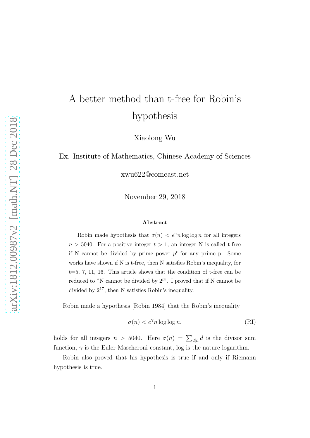## A better method than t-free for Robin's hypothesis

Xiaolong Wu

Ex. Institute of Mathematics, Chinese Academy of Sciences

xwu622@comcast.net

November 29, 2018

## Abstract

Robin made hypothesis that  $\sigma(n) < e^{\gamma} n \log \log n$  for all integers  $n > 5040$ . For a positive integer  $t > 1$ , an integer N is called t-free if N cannot be divided by prime power  $p<sup>t</sup>$  for any prime p. Some works have shown if N is t-free, then N satisfies Robin's inequality, for  $t=5, 7, 11, 16$ . This article shows that the condition of t-free can be reduced to "N cannot be divided by  $2^{t}$ ". I proved that if N cannot be divided by  $2^{17}$ , then N satisfies Robin's inequality.

Robin made a hypothesis [Robin 1984] that the Robin's inequality

$$
\sigma(n) < e^{\gamma} n \log \log n,\tag{RI}
$$

holds for all integers  $n > 5040$ . Here  $\sigma(n) = \sum_{d|n} d$  is the divisor sum function,  $\gamma$  is the Euler-Mascheroni constant, log is the nature logarithm.

Robin also proved that his hypothesis is true if and only if Riemann hypothesis is true.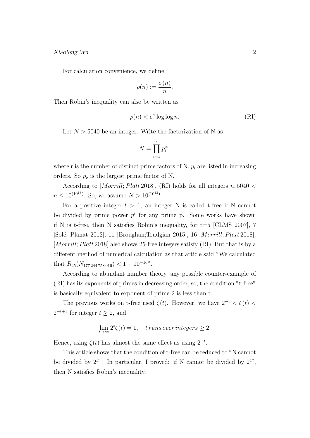Xiaolong Wu 2

For calculation convenience, we define

$$
\rho(n) := \frac{\sigma(n)}{n}.
$$

Then Robin's inequality can also be written as

$$
\rho(n) < e^{\gamma} \log \log n. \tag{RI}
$$

Let  $N > 5040$  be an integer. Write the factorization of N as

$$
N = \prod_{i=1}^r p_i^{a_i},
$$

where r is the number of distinct prime factors of N,  $p_i$  are listed in increasing orders. So  $p_r$  is the largest prime factor of N.

According to [Morrill; Platt 2018], (RI) holds for all integers  $n,5040 <$  $n \leq 10^{(10^{13})}$ . So, we assume  $N > 10^{(10^{13})}$ .

For a positive integer  $t > 1$ , an integer N is called t-free if N cannot be divided by prime power  $p^t$  for any prime p. Some works have shown if N is t-free, then N satisfies Robin's inequality, for  $t=5$  [CLMS 2007], 7 [Solé; Planat 2012], 11 [Broughan;Trudgian 2015], 16 [Morrill; Platt 2018]. [Morrill; Platt 2018] also shows 25-free integers satisfy (RI). But that is by a different method of numerical calculation as that article said "We calculated that  $R_{25}(N_{177\,244\,758\,016}) < 1 - 10^{-16}$ ".

According to abundant number theory, any possible counter-example of (RI) has its exponents of primes in decreasing order, so, the condition "t-free" is basically equivalent to exponent of prime 2 is less than t.

The previous works on t-free used  $\zeta(t)$ . However, we have  $2^{-t} < \zeta(t)$  $2^{-t+1}$  for integer  $t \geq 2$ , and

$$
\lim_{t \to \infty} 2^t \zeta(t) = 1, \quad \text{trums over integers} \ge 2.
$$

Hence, using  $\zeta(t)$  has almost the same effect as using  $2^{-t}$ .

This article shows that the condition of t-free can be reduced to "N cannot be divided by  $2^{t}$ . In particular, I proved: if N cannot be divided by  $2^{17}$ , then N satisfies Robin's inequality.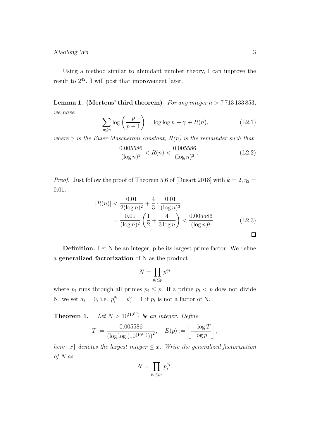## Xiaolong Wu 3

Using a method similar to abundant number theory, I can improve the result to  $2^{42}$ . I will post that improvement later.

**Lemma 1.** (Mertens' third theorem) For any integer  $n > 7713133853$ , we have

$$
\sum_{p \le n} \log \left( \frac{p}{p-1} \right) = \log \log n + \gamma + R(n), \tag{L2.1}
$$

where  $\gamma$  is the Euler-Mascheroni constant,  $R(n)$  is the remainder such that

$$
-\frac{0.005586}{(\log n)^2} < R(n) < \frac{0.005586}{(\log n)^2}.\tag{L2.2}
$$

*Proof.* Just follow the proof of Theorem 5.6 of [Dusart 2018] with  $k = 2, \eta_2 =$ 0.01.

$$
|R(n)| < \frac{0.01}{2(\log n)^2} + \frac{4}{3} \cdot \frac{0.01}{(\log n)^3}
$$
  
= 
$$
\frac{0.01}{(\log n)^2} \left(\frac{1}{2} + \frac{4}{3 \log n}\right) < \frac{0.005586}{(\log n)^2}.
$$
 (L2.3)

Definition. Let N be an integer, p be its largest prime factor. We define a generalized factorization of N as the product

$$
N=\prod_{p_i\leq p}p_i^{a_i}
$$

where  $p_i$  runs through all primes  $p_i \leq p$ . If a prime  $p_i < p$  does not divide N, we set  $a_i = 0$ , i.e.  $p_i^{a_i} = p_i^0 = 1$  if  $p_i$  is not a factor of N.

**Theorem 1.** Let  $N > 10^{(10^{13})}$  be an integer. Define

$$
T := \frac{0.005586}{(\log \log (10^{(10^{13})}))^2}, \quad E(p) := \left\lfloor \frac{-\log T}{\log p} \right\rfloor,
$$

here  $\lfloor x \rfloor$  denotes the largest integer  $\leq x$ . Write the generalized factorization of N as

$$
N=\prod_{p_i\leq p_r}p_i^{a_i},
$$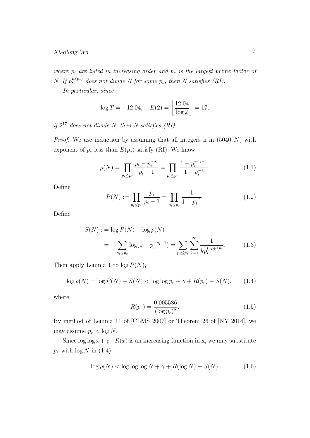where  $p_i$  are listed in increasing order and  $p_r$  is the largest prime factor of N. If  $p_s^{E(p_s)}$  does not divide N for some  $p_s$ , then N satisfies (RI).

In particular, since

$$
\log T = -12.04, \quad E(2) = \left\lfloor \frac{12.04}{\log 2} \right\rfloor = 17,
$$

if  $2^{17}$  does not divide N, then N satisfies (RI).

*Proof.* We use induction by assuming that all integers n in  $(5040, N)$  with exponent of  $p_s$  less than  $E(p_s)$  satisfy (RI). We know

$$
\rho(N) = \prod_{p_i \le p_r} \frac{p_i - p_i^{-a_i}}{p_i - 1} = \prod_{p_i \le p_r} \frac{1 - p_i^{-a_i - 1}}{1 - p_i^{-1}}.
$$
\n(1.1)

Define

$$
P(N) := \prod_{p_i \le p_r} \frac{p_i}{p_i - 1} = \prod_{p_i \le p_r} \frac{1}{1 - p_i^{-1}}.
$$
\n(1.2)

Define

$$
S(N) := \log P(N) - \log \rho(N)
$$
  
= 
$$
-\sum_{p_i \le p_r} \log(1 - p_i^{-a_i - 1}) = \sum_{p_i \le p_r} \sum_{k=1}^{\infty} \frac{1}{kp_i^{(a_i+1)k}},
$$
(1.3)

Then apply Lemma 1 to  $log P(N)$ ,

$$
\log \rho(N) = \log P(N) - S(N) < \log \log p_r + \gamma + R(p_r) - S(N). \tag{1.4}
$$

where

$$
R(p_r) = \frac{0.005586}{(\log p_r)^2}.
$$
\n(1.5)

By method of Lemma 11 of [CLMS 2007] or Theorem 26 of [NY 2014], we may assume  $p_r < \log N$ .

Since  $\log \log x + \gamma + R(x)$  is an increasing function in x, we may substitute  $p_r$  with  $\log N$  in (1.4),

$$
\log \rho(N) < \log \log \log N + \gamma + R(\log N) - S(N),\tag{1.6}
$$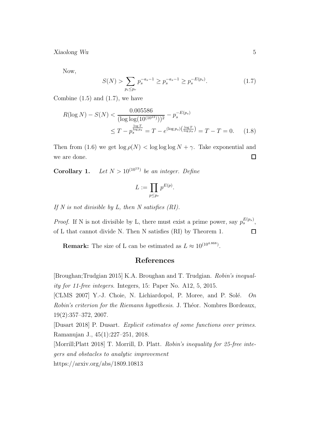Xiaolong Wu 5

Now,

$$
S(N) > \sum_{p_i \le p_r} p_s^{-a_s - 1} \ge p_s^{-a_s - 1} \ge p_s^{-E(p_s)}.
$$
 (1.7)

Combine  $(1.5)$  and  $(1.7)$ , we have

$$
R(\log N) - S(N) < \frac{0.005586}{(\log \log(10^{(10^{13})}))^2} - p_s^{-E(p_s)} \\
\leq T - p_s^{\frac{\log T}{\log p_s}} = T - e^{(\log p_s) \left(\frac{\log T}{\log p_s}\right)} = T - T = 0. \tag{1.8}
$$

Then from (1.6) we get  $\log \rho(N) < \log \log \log N + \gamma$ . Take exponential and we are done.  $\Box$ 

**Corollary 1.** Let  $N > 10^{(10^{13})}$  be an integer. Define

$$
L := \prod_{p \le p_r} p^{E(p)}.
$$

If N is not divisible by L, then N satisfies  $(RI)$ .

*Proof.* If N is not divisible by L, there must exist a prime power, say  $p_s^{E(p_s)}$ , of L that cannot divide N. Then N satisfies (RI) by Theorem 1.  $\Box$ 

**Remark:** The size of L can be estimated as  $L \approx 10^{(10^{4.868})}$ .

## References

[Broughan;Trudgian 2015] K.A. Broughan and T. Trudgian. Robin's inequality for 11-free integers. Integers, 15: Paper No. A12, 5, 2015.

[CLMS 2007] Y.-J. Choie, N. Lichiardopol, P. Moree, and P. Solé.  $On$ Robin's criterion for the Riemann hypothesis. J. Théor. Nombres Bordeaux, 19(2):357–372, 2007.

[Dusart 2018] P. Dusart. Explicit estimates of some functions over primes. Ramanujan J., 45(1):227–251, 2018.

[Morrill;Platt 2018] T. Morrill, D. Platt. Robin's inequality for 25-free integers and obstacles to analytic improvement

https://arxiv.org/abs/1809.10813